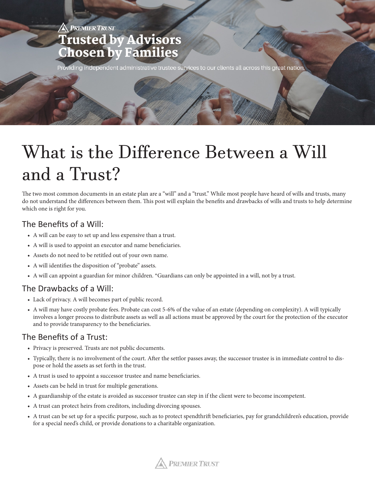# **PREMIER TRUST Trusted by Advisors Chosen by Families**

Providing independent administrative trustee services to our clients all across this great nation.

# What is the Difference Between a Will and a Trust?

The two most common documents in an estate plan are a "will" and a "trust." While most people have heard of wills and trusts, many do not understand the differences between them. This post will explain the benefits and drawbacks of wills and trusts to help determine which one is right for you.

## The Benefits of a Will:

- A will can be easy to set up and less expensive than a trust.
- A will is used to appoint an executor and name beneficiaries.
- Assets do not need to be retitled out of your own name.
- A will identifies the disposition of "probate" assets.
- A will can appoint a guardian for minor children. \*Guardians can only be appointed in a will, not by a trust.

#### The Drawbacks of a Will:

- Lack of privacy. A will becomes part of public record.
- A will may have costly probate fees. Probate can cost 5-6% of the value of an estate (depending on complexity). A will typically involves a longer process to distribute assets as well as all actions must be approved by the court for the protection of the executor and to provide transparency to the beneficiaries.

#### The Benefits of a Trust:

- Privacy is preserved. Trusts are not public documents.
- Typically, there is no involvement of the court. After the settlor passes away, the successor trustee is in immediate control to dispose or hold the assets as set forth in the trust.
- A trust is used to appoint a successor trustee and name beneficiaries.
- Assets can be held in trust for multiple generations.
- A guardianship of the estate is avoided as successor trustee can step in if the client were to become incompetent.
- A trust can protect heirs from creditors, including divorcing spouses.
- A trust can be set up for a specific purpose, such as to protect spendthrift beneficiaries, pay for grandchildren's education, provide for a special need's child, or provide donations to a charitable organization.

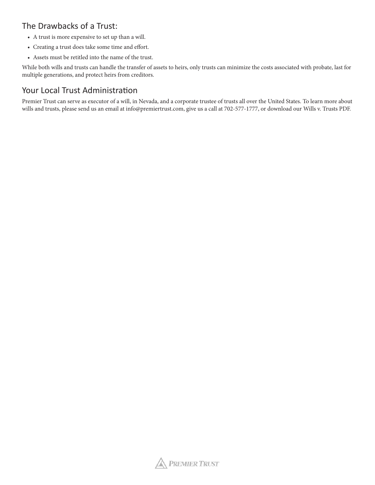# The Drawbacks of a Trust:

- A trust is more expensive to set up than a will.
- Creating a trust does take some time and effort.
- Assets must be retitled into the name of the trust.

While both wills and trusts can handle the transfer of assets to heirs, only trusts can minimize the costs associated with probate, last for multiple generations, and protect heirs from creditors.

## Your Local Trust Administration

Premier Trust can serve as executor of a will, in Nevada, and a corporate trustee of trusts all over the United States. To learn more about wills and trusts, please send us an email at info@premiertrust.com, give us a call at 702-577-1777, or download our Wills v. Trusts PDF.